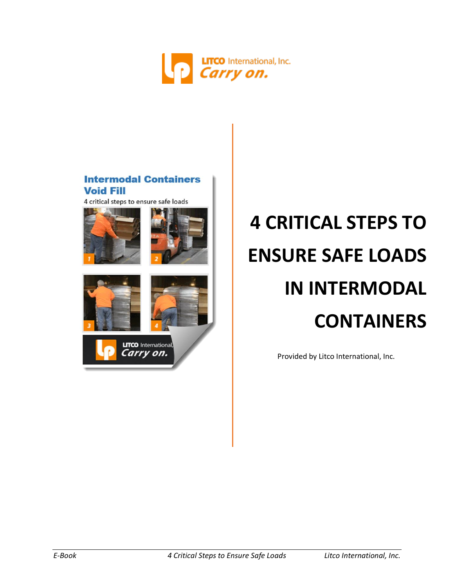

## **Intermodal Containers Void Fill**

4 critical steps to ensure safe loads







**LITCO** International Carry on.

# **4 CRITICAL STEPS TO ENSURE SAFE LOADS IN INTERMODAL CONTAINERS**

Provided by Litco International, Inc.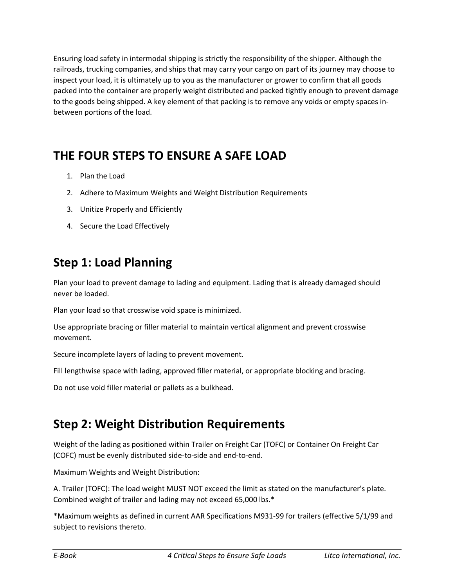Ensuring load safety in intermodal shipping is strictly the responsibility of the shipper. Although the railroads, trucking companies, and ships that may carry your cargo on part of its journey may choose to inspect your load, it is ultimately up to you as the manufacturer or grower to confirm that all goods packed into the container are properly weight distributed and packed tightly enough to prevent damage to the goods being shipped. A key element of that packing is to remove any voids or empty spaces inbetween portions of the load.

# **THE FOUR STEPS TO ENSURE A SAFE LOAD**

- 1. Plan the Load
- 2. Adhere to Maximum Weights and Weight Distribution Requirements
- 3. Unitize Properly and Efficiently
- 4. Secure the Load Effectively

# **Step 1: Load Planning**

Plan your load to prevent damage to lading and equipment. Lading that is already damaged should never be loaded.

Plan your load so that crosswise void space is minimized.

Use appropriate bracing or filler material to maintain vertical alignment and prevent crosswise movement.

Secure incomplete layers of lading to prevent movement.

Fill lengthwise space with lading, approved filler material, or appropriate blocking and bracing.

Do not use void filler material or pallets as a bulkhead.

# **Step 2: Weight Distribution Requirements**

Weight of the lading as positioned within Trailer on Freight Car (TOFC) or Container On Freight Car (COFC) must be evenly distributed side-to-side and end-to-end.

Maximum Weights and Weight Distribution:

A. Trailer (TOFC): The load weight MUST NOT exceed the limit as stated on the manufacturer's plate. Combined weight of trailer and lading may not exceed 65,000 lbs.\*

\*Maximum weights as defined in current AAR Specifications M931-99 for trailers (effective 5/1/99 and subject to revisions thereto.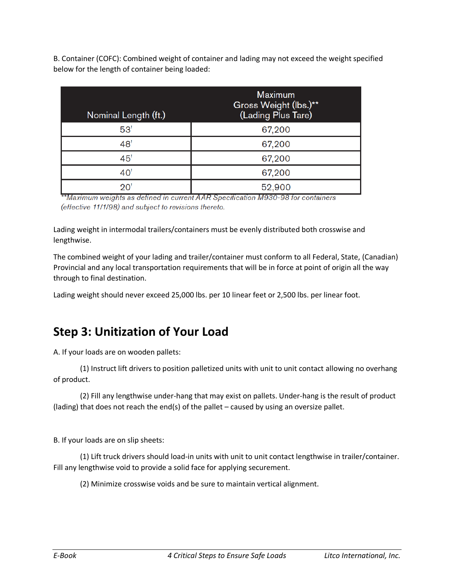B. Container (COFC): Combined weight of container and lading may not exceed the weight specified below for the length of container being loaded:

| Nominal Length (ft.) | <b>Maximum</b><br>Gross Weight (lbs.)**<br>(Lading Plus Tare) |
|----------------------|---------------------------------------------------------------|
| 53'                  | 67,200                                                        |
| 48'                  | 67,200                                                        |
| 45'                  | 67,200                                                        |
| 40'                  | 67,200                                                        |
| 20'                  | 52,900                                                        |

\*\*Maximum weights as defined in current AAR Specification M930-98 for containers (effective 11/1/98) and subject to revisions thereto.

Lading weight in intermodal trailers/containers must be evenly distributed both crosswise and lengthwise.

The combined weight of your lading and trailer/container must conform to all Federal, State, (Canadian) Provincial and any local transportation requirements that will be in force at point of origin all the way through to final destination.

Lading weight should never exceed 25,000 lbs. per 10 linear feet or 2,500 lbs. per linear foot.

# **Step 3: Unitization of Your Load**

A. If your loads are on wooden pallets:

(1) Instruct lift drivers to position palletized units with unit to unit contact allowing no overhang of product.

(2) Fill any lengthwise under-hang that may exist on pallets. Under-hang is the result of product (lading) that does not reach the end(s) of the pallet – caused by using an oversize pallet.

B. If your loads are on slip sheets:

(1) Lift truck drivers should load-in units with unit to unit contact lengthwise in trailer/container. Fill any lengthwise void to provide a solid face for applying securement.

(2) Minimize crosswise voids and be sure to maintain vertical alignment.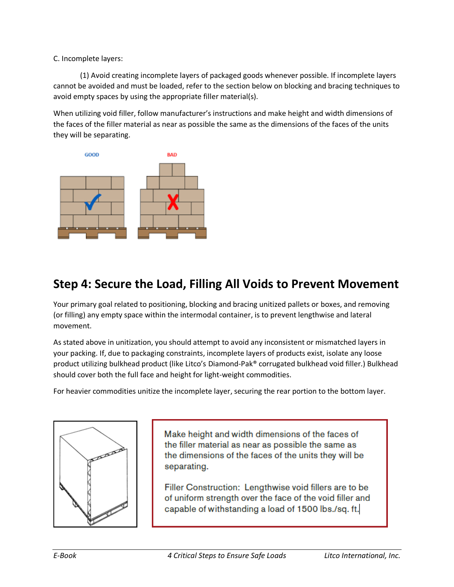### C. Incomplete layers:

(1) Avoid creating incomplete layers of packaged goods whenever possible. If incomplete layers cannot be avoided and must be loaded, refer to the section below on blocking and bracing techniques to avoid empty spaces by using the appropriate filler material(s).

When utilizing void filler, follow manufacturer's instructions and make height and width dimensions of the faces of the filler material as near as possible the same as the dimensions of the faces of the units they will be separating.



# **Step 4: Secure the Load, Filling All Voids to Prevent Movement**

Your primary goal related to positioning, blocking and bracing unitized pallets or boxes, and removing (or filling) any empty space within the intermodal container, is to prevent lengthwise and lateral movement.

As stated above in unitization, you should attempt to avoid any inconsistent or mismatched layers in your packing. If, due to packaging constraints, incomplete layers of products exist, isolate any loose product utilizing bulkhead product (like Litco's Diamond-Pak® corrugated bulkhead void filler.) Bulkhead should cover both the full face and height for light-weight commodities.

For heavier commodities unitize the incomplete layer, securing the rear portion to the bottom layer.



Make height and width dimensions of the faces of the filler material as near as possible the same as the dimensions of the faces of the units they will be separating.

Filler Construction: Lengthwise void fillers are to be of uniform strength over the face of the void filler and capable of withstanding a load of 1500 lbs./sq. ft.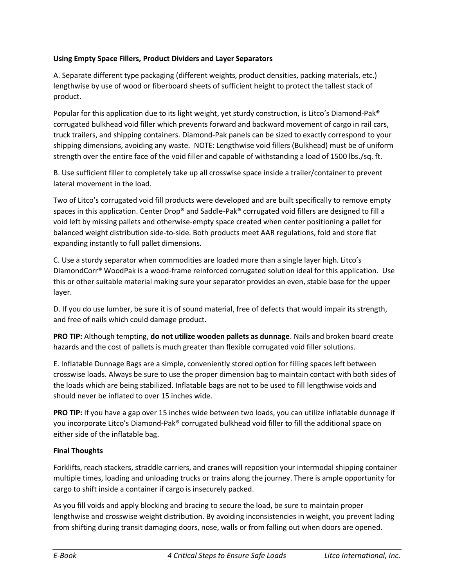#### **Using Empty Space Fillers, Product Dividers and Layer Separators**

A. Separate different type packaging (different weights, product densities, packing materials, etc.) lengthwise by use of wood or fiberboard sheets of sufficient height to protect the tallest stack of product.

Popular for this application due to its light weight, yet sturdy construction, is Litco's Diamond-Pak® corrugated bulkhead void filler which prevents forward and backward movement of cargo in rail cars, truck trailers, and shipping containers. Diamond-Pak panels can be sized to exactly correspond to your shipping dimensions, avoiding any waste. NOTE: Lengthwise void fillers (Bulkhead) must be of uniform strength over the entire face of the void filler and capable of withstanding a load of 1500 lbs./sq. ft.

B. Use sufficient filler to completely take up all crosswise space inside a trailer/container to prevent lateral movement in the load.

Two of Litco's corrugated void fill products were developed and are built specifically to remove empty spaces in this application. Center Drop® and Saddle-Pak® corrugated void fillers are designed to fill a void left by missing pallets and otherwise-empty space created when center positioning a pallet for balanced weight distribution side-to-side. Both products meet AAR regulations, fold and store flat expanding instantly to full pallet dimensions.

C. Use a sturdy separator when commodities are loaded more than a single layer high. Litco's DiamondCorr® WoodPak is a wood-frame reinforced corrugated solution ideal for this application. Use this or other suitable material making sure your separator provides an even, stable base for the upper layer.

D. If you do use lumber, be sure it is of sound material, free of defects that would impair its strength, and free of nails which could damage product.

**PRO TIP:** Although tempting, **do not utilize wooden pallets as dunnage**. Nails and broken board create hazards and the cost of pallets is much greater than flexible corrugated void filler solutions.

E. Inflatable Dunnage Bags are a simple, conveniently stored option for filling spaces left between crosswise loads. Always be sure to use the proper dimension bag to maintain contact with both sides of the loads which are being stabilized. Inflatable bags are not to be used to fill lengthwise voids and should never be inflated to over 15 inches wide.

**PRO TIP:** If you have a gap over 15 inches wide between two loads, you can utilize inflatable dunnage if you incorporate Litco's Diamond-Pak® corrugated bulkhead void filler to fill the additional space on either side of the inflatable bag.

## **Final Thoughts**

Forklifts, reach stackers, straddle carriers, and cranes will reposition your intermodal shipping container multiple times, loading and unloading trucks or trains along the journey. There is ample opportunity for cargo to shift inside a container if cargo is insecurely packed.

As you fill voids and apply blocking and bracing to secure the load, be sure to maintain proper lengthwise and crosswise weight distribution. By avoiding inconsistencies in weight, you prevent lading from shifting during transit damaging doors, nose, walls or from falling out when doors are opened.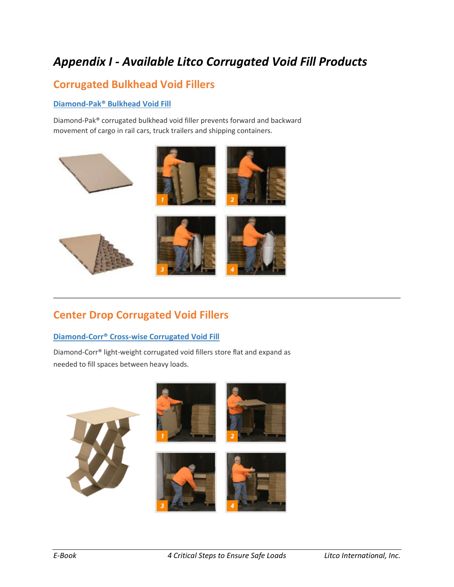# *Appendix I - Available Litco Corrugated Void Fill Products*

## **Corrugated Bulkhead Void Fillers**

## **[Diamond-Pak® Bulkhead Void Fill](https://www.litco.com/corrugated-void-fill/diamond-pak-bulkhead-void-fill/)**

Diamond-Pak® corrugated bulkhead void filler prevents forward and backward movement of cargo in rail cars, truck trailers and shipping containers.



## **Center Drop Corrugated Void Fillers**

## **[Diamond-Corr® Cross-wise Corrugated Void Fill](https://www.litco.com/corrugated-void-fill/diamond-corr-center-drop-corrugated-void-fillers/)**

Diamond-Corr® light-weight corrugated void fillers store flat and expand as needed to fill spaces between heavy loads.

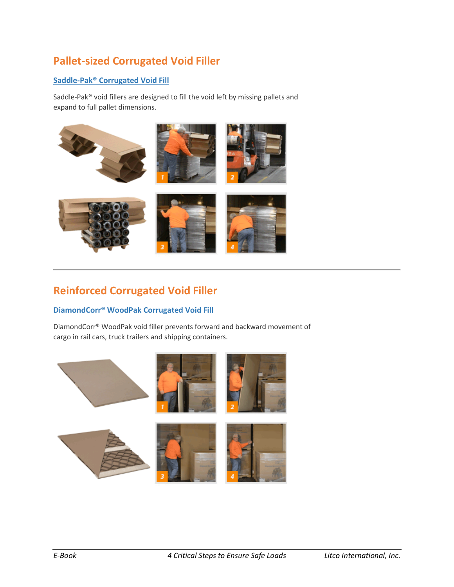# **Pallet-sized Corrugated Void Filler**

## **[Saddle-Pak® Corrugated Void Fill](https://www.litco.com/corrugated-void-fill/saddle-pak-pallet-sized-corrugated-void-filler/)**

Saddle-Pak® void fillers are designed to fill the void left by missing pallets and expand to full pallet dimensions.



# **Reinforced Corrugated Void Filler**

#### **[DiamondCorr® WoodPak Corrugated Void Fill](https://www.litco.com/corrugated-void-fill/diamond-corr-reinforced-corrugated-void-fill/)**

DiamondCorr® WoodPak void filler prevents forward and backward movement of cargo in rail cars, truck trailers and shipping containers.